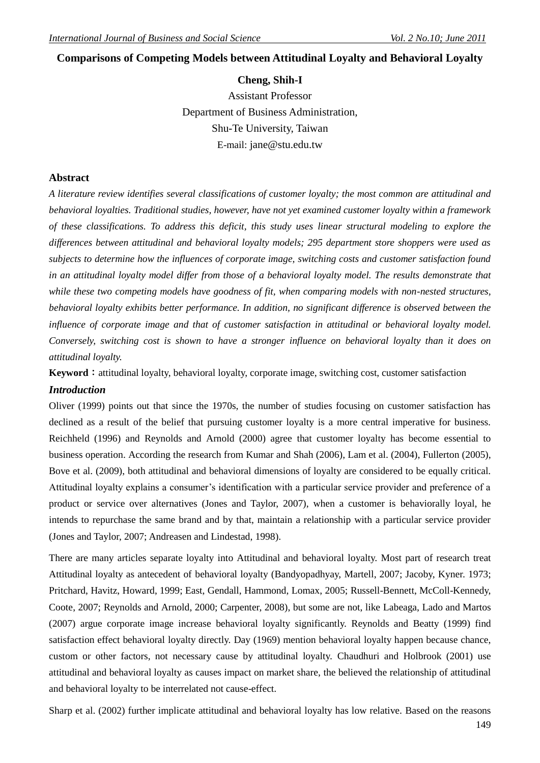# **Comparisons of Competing Models between Attitudinal Loyalty and Behavioral Loyalty**

## **Cheng, Shih-I**

Assistant Professor Department of Business Administration, Shu-Te University, Taiwan E-mail: jane@stu.edu.tw

## **Abstract**

*A literature review identifies several classifications of customer loyalty; the most common are attitudinal and behavioral loyalties. Traditional studies, however, have not yet examined customer loyalty within a framework of these classifications. To address this deficit, this study uses linear structural modeling to explore the differences between attitudinal and behavioral loyalty models; 295 department store shoppers were used as subjects to determine how the influences of corporate image, switching costs and customer satisfaction found in an attitudinal loyalty model differ from those of a behavioral loyalty model. The results demonstrate that while these two competing models have goodness of fit, when comparing models with non-nested structures, behavioral loyalty exhibits better performance. In addition, no significant difference is observed between the influence of corporate image and that of customer satisfaction in attitudinal or behavioral loyalty model. Conversely, switching cost is shown to have a stronger influence on behavioral loyalty than it does on attitudinal loyalty.*

**Keyword**: attitudinal loyalty, behavioral loyalty, corporate image, switching cost, customer satisfaction *Introduction*

Oliver (1999) points out that since the 1970s, the number of studies focusing on customer satisfaction has declined as a result of the belief that pursuing customer loyalty is a more central imperative for business. Reichheld (1996) and Reynolds and Arnold (2000) agree that customer loyalty has become essential to business operation. According the research from Kumar and Shah (2006), Lam et al. (2004), Fullerton (2005), Bove et al. (2009), both attitudinal and behavioral dimensions of loyalty are considered to be equally critical. Attitudinal loyalty explains a consumer's identification with a particular service provider and preference of a product or service over alternatives (Jones and Taylor, 2007), when a customer is behaviorally loyal, he intends to repurchase the same brand and by that, maintain a relationship with a particular service provider (Jones and Taylor, 2007; Andreasen and Lindestad, 1998).

There are many articles separate loyalty into Attitudinal and behavioral loyalty. Most part of research treat Attitudinal loyalty as antecedent of behavioral loyalty (Bandyopadhyay, Martell, 2007; Jacoby, Kyner. 1973; Pritchard, Havitz, Howard, 1999; East, Gendall, Hammond, Lomax, 2005; Russell-Bennett, McColl-Kennedy, Coote, 2007; Reynolds and Arnold, 2000; Carpenter, 2008), but some are not, like Labeaga, Lado and Martos (2007) argue corporate image increase behavioral loyalty significantly. Reynolds and Beatty (1999) find satisfaction effect behavioral loyalty directly. Day (1969) mention behavioral loyalty happen because chance, custom or other factors, not necessary cause by attitudinal loyalty. Chaudhuri and Holbrook (2001) use attitudinal and behavioral loyalty as causes impact on market share, the believed the relationship of attitudinal and behavioral loyalty to be interrelated not cause-effect.

Sharp et al. (2002) further implicate attitudinal and behavioral loyalty has low relative. Based on the reasons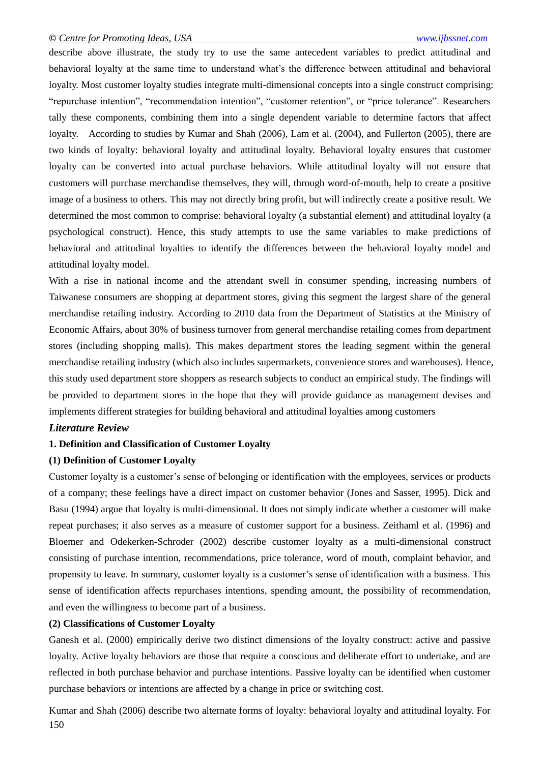describe above illustrate, the study try to use the same antecedent variables to predict attitudinal and behavioral loyalty at the same time to understand what's the difference between attitudinal and behavioral loyalty. Most customer loyalty studies integrate multi-dimensional concepts into a single construct comprising: "repurchase intention", "recommendation intention", "customer retention", or "price tolerance". Researchers tally these components, combining them into a single dependent variable to determine factors that affect loyalty. According to studies by Kumar and Shah (2006), Lam et al. (2004), and Fullerton (2005), there are two kinds of loyalty: behavioral loyalty and attitudinal loyalty. Behavioral loyalty ensures that customer loyalty can be converted into actual purchase behaviors. While attitudinal loyalty will not ensure that customers will purchase merchandise themselves, they will, through word-of-mouth, help to create a positive image of a business to others. This may not directly bring profit, but will indirectly create a positive result. We determined the most common to comprise: behavioral loyalty (a substantial element) and attitudinal loyalty (a psychological construct). Hence, this study attempts to use the same variables to make predictions of behavioral and attitudinal loyalties to identify the differences between the behavioral loyalty model and attitudinal loyalty model.

With a rise in national income and the attendant swell in consumer spending, increasing numbers of Taiwanese consumers are shopping at department stores, giving this segment the largest share of the general merchandise retailing industry. According to 2010 data from the Department of Statistics at the Ministry of Economic Affairs, about 30% of business turnover from general merchandise retailing comes from department stores (including shopping malls). This makes department stores the leading segment within the general merchandise retailing industry (which also includes supermarkets, convenience stores and warehouses). Hence, this study used department store shoppers as research subjects to conduct an empirical study. The findings will be provided to department stores in the hope that they will provide guidance as management devises and implements different strategies for building behavioral and attitudinal loyalties among customers

## *Literature Review*

## **1. Definition and Classification of Customer Loyalty**

## **(1) Definition of Customer Loyalty**

Customer loyalty is a customer's sense of belonging or identification with the employees, services or products of a company; these feelings have a direct impact on customer behavior (Jones and Sasser, 1995). Dick and Basu (1994) argue that loyalty is multi-dimensional. It does not simply indicate whether a customer will make repeat purchases; it also serves as a measure of customer support for a business. Zeithaml et al. (1996) and Bloemer and Odekerken-Schroder (2002) describe customer loyalty as a multi-dimensional construct consisting of purchase intention, recommendations, price tolerance, word of mouth, complaint behavior, and propensity to leave. In summary, customer loyalty is a customer's sense of identification with a business. This sense of identification affects repurchases intentions, spending amount, the possibility of recommendation, and even the willingness to become part of a business.

## **(2) Classifications of Customer Loyalty**

Ganesh et al. (2000) empirically derive two distinct dimensions of the loyalty construct: active and passive loyalty. Active loyalty behaviors are those that require a conscious and deliberate effort to undertake, and are reflected in both purchase behavior and purchase intentions. Passive loyalty can be identified when customer purchase behaviors or intentions are affected by a change in price or switching cost.

150 Kumar and Shah (2006) describe two alternate forms of loyalty: behavioral loyalty and attitudinal loyalty. For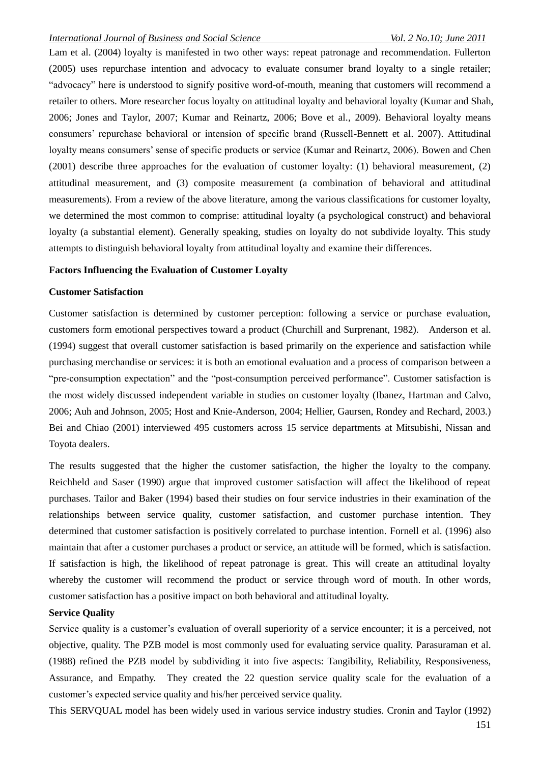Lam et al. (2004) loyalty is manifested in two other ways: repeat patronage and recommendation. Fullerton (2005) uses repurchase intention and advocacy to evaluate consumer brand loyalty to a single retailer; "advocacy" here is understood to signify positive word-of-mouth, meaning that customers will recommend a retailer to others. More researcher focus loyalty on attitudinal loyalty and behavioral loyalty (Kumar and Shah, 2006; Jones and Taylor, 2007; Kumar and Reinartz, 2006; Bove et al., 2009). Behavioral loyalty means consumers' repurchase behavioral or intension of specific brand (Russell-Bennett et al. 2007). Attitudinal loyalty means consumers' sense of specific products or service (Kumar and Reinartz, 2006). Bowen and Chen (2001) describe three approaches for the evaluation of customer loyalty: (1) behavioral measurement, (2) attitudinal measurement, and (3) composite measurement (a combination of behavioral and attitudinal measurements). From a review of the above literature, among the various classifications for customer loyalty, we determined the most common to comprise: attitudinal loyalty (a psychological construct) and behavioral loyalty (a substantial element). Generally speaking, studies on loyalty do not subdivide loyalty. This study attempts to distinguish behavioral loyalty from attitudinal loyalty and examine their differences.

### **Factors Influencing the Evaluation of Customer Loyalty**

## **Customer Satisfaction**

Customer satisfaction is determined by customer perception: following a service or purchase evaluation, customers form emotional perspectives toward a product (Churchill and Surprenant, 1982). Anderson et al. (1994) suggest that overall customer satisfaction is based primarily on the experience and satisfaction while purchasing merchandise or services: it is both an emotional evaluation and a process of comparison between a "pre-consumption expectation" and the "post-consumption perceived performance". Customer satisfaction is the most widely discussed independent variable in studies on customer loyalty (Ibanez, Hartman and Calvo, 2006; Auh and Johnson, 2005; Host and Knie-Anderson, 2004; Hellier, Gaursen, Rondey and Rechard, 2003.) Bei and Chiao (2001) interviewed 495 customers across 15 service departments at Mitsubishi, Nissan and Toyota dealers.

The results suggested that the higher the customer satisfaction, the higher the loyalty to the company. Reichheld and Saser (1990) argue that improved customer satisfaction will affect the likelihood of repeat purchases. Tailor and Baker (1994) based their studies on four service industries in their examination of the relationships between service quality, customer satisfaction, and customer purchase intention. They determined that customer satisfaction is positively correlated to purchase intention. Fornell et al. (1996) also maintain that after a customer purchases a product or service, an attitude will be formed, which is satisfaction. If satisfaction is high, the likelihood of repeat patronage is great. This will create an attitudinal loyalty whereby the customer will recommend the product or service through word of mouth. In other words, customer satisfaction has a positive impact on both behavioral and attitudinal loyalty.

### **Service Quality**

Service quality is a customer's evaluation of overall superiority of a service encounter; it is a perceived, not objective, quality. The PZB model is most commonly used for evaluating service quality. Parasuraman et al. (1988) refined the PZB model by subdividing it into five aspects: Tangibility, Reliability, Responsiveness, Assurance, and Empathy. They created the 22 question service quality scale for the evaluation of a customer's expected service quality and his/her perceived service quality.

This SERVQUAL model has been widely used in various service industry studies. Cronin and Taylor (1992)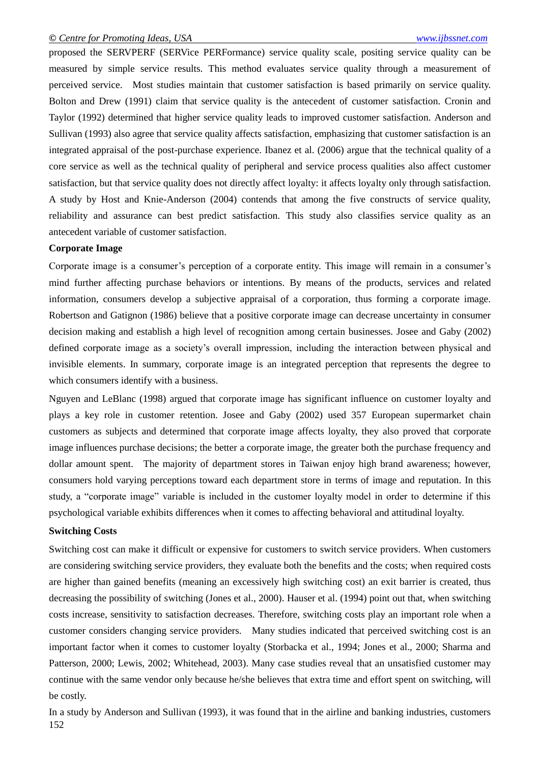proposed the SERVPERF (SERVice PERFormance) service quality scale, positing service quality can be measured by simple service results. This method evaluates service quality through a measurement of perceived service. Most studies maintain that customer satisfaction is based primarily on service quality. Bolton and Drew (1991) claim that service quality is the antecedent of customer satisfaction. Cronin and Taylor (1992) determined that higher service quality leads to improved customer satisfaction. Anderson and Sullivan (1993) also agree that service quality affects satisfaction, emphasizing that customer satisfaction is an integrated appraisal of the post-purchase experience. Ibanez et al. (2006) argue that the technical quality of a core service as well as the technical quality of peripheral and service process qualities also affect customer satisfaction, but that service quality does not directly affect loyalty: it affects loyalty only through satisfaction. A study by Host and Knie-Anderson (2004) contends that among the five constructs of service quality, reliability and assurance can best predict satisfaction. This study also classifies service quality as an antecedent variable of customer satisfaction.

#### **Corporate Image**

Corporate image is a consumer's perception of a corporate entity. This image will remain in a consumer's mind further affecting purchase behaviors or intentions. By means of the products, services and related information, consumers develop a subjective appraisal of a corporation, thus forming a corporate image. Robertson and Gatignon (1986) believe that a positive corporate image can decrease uncertainty in consumer decision making and establish a high level of recognition among certain businesses. Josee and Gaby (2002) defined corporate image as a society's overall impression, including the interaction between physical and invisible elements. In summary, corporate image is an integrated perception that represents the degree to which consumers identify with a business.

Nguyen and LeBlanc (1998) argued that corporate image has significant influence on customer loyalty and plays a key role in customer retention. Josee and Gaby (2002) used 357 European supermarket chain customers as subjects and determined that corporate image affects loyalty, they also proved that corporate image influences purchase decisions; the better a corporate image, the greater both the purchase frequency and dollar amount spent. The majority of department stores in Taiwan enjoy high brand awareness; however, consumers hold varying perceptions toward each department store in terms of image and reputation. In this study, a "corporate image" variable is included in the customer loyalty model in order to determine if this psychological variable exhibits differences when it comes to affecting behavioral and attitudinal loyalty.

#### **Switching Costs**

Switching cost can make it difficult or expensive for customers to switch service providers. When customers are considering switching service providers, they evaluate both the benefits and the costs; when required costs are higher than gained benefits (meaning an excessively high switching cost) an exit barrier is created, thus decreasing the possibility of switching (Jones et al., 2000). Hauser et al. (1994) point out that, when switching costs increase, sensitivity to satisfaction decreases. Therefore, switching costs play an important role when a customer considers changing service providers. Many studies indicated that perceived switching cost is an important factor when it comes to customer loyalty (Storbacka et al., 1994; Jones et al., 2000; Sharma and Patterson, 2000; Lewis, 2002; Whitehead, 2003). Many case studies reveal that an unsatisfied customer may continue with the same vendor only because he/she believes that extra time and effort spent on switching, will be costly.

152 In a study by Anderson and Sullivan (1993), it was found that in the airline and banking industries, customers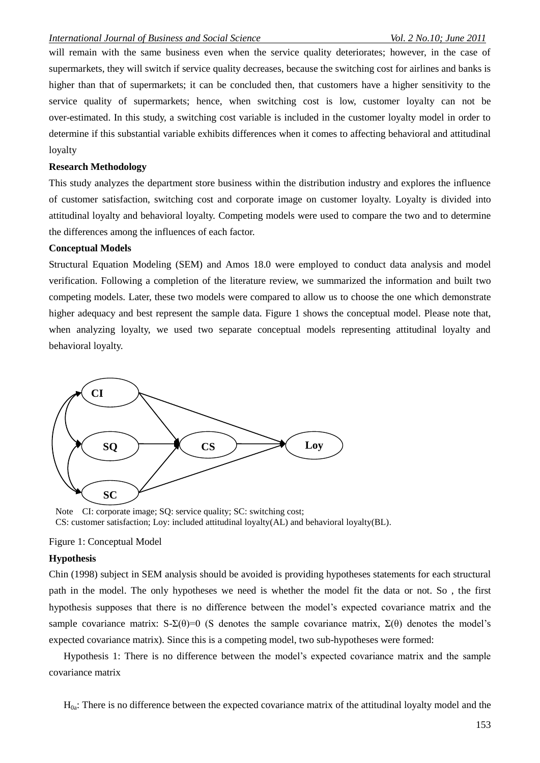will remain with the same business even when the service quality deteriorates; however, in the case of supermarkets, they will switch if service quality decreases, because the switching cost for airlines and banks is higher than that of supermarkets; it can be concluded then, that customers have a higher sensitivity to the service quality of supermarkets; hence, when switching cost is low, customer loyalty can not be over-estimated. In this study, a switching cost variable is included in the customer loyalty model in order to determine if this substantial variable exhibits differences when it comes to affecting behavioral and attitudinal loyalty

### **Research Methodology**

This study analyzes the department store business within the distribution industry and explores the influence of customer satisfaction, switching cost and corporate image on customer loyalty. Loyalty is divided into attitudinal loyalty and behavioral loyalty. Competing models were used to compare the two and to determine the differences among the influences of each factor.

#### **Conceptual Models**

Structural Equation Modeling (SEM) and Amos 18.0 were employed to conduct data analysis and model verification. Following a completion of the literature review, we summarized the information and built two competing models. Later, these two models were compared to allow us to choose the one which demonstrate higher adequacy and best represent the sample data. Figure 1 shows the conceptual model. Please note that, when analyzing loyalty, we used two separate conceptual models representing attitudinal loyalty and behavioral loyalty.



Note CI: corporate image; SQ: service quality; SC: switching cost; CS: customer satisfaction; Loy: included attitudinal loyalty(AL) and behavioral loyalty(BL).

#### Figure 1: Conceptual Model

## **Hypothesis**

Chin (1998) subject in SEM analysis should be avoided is providing hypotheses statements for each structural path in the model. The only hypotheses we need is whether the model fit the data or not. So , the first hypothesis supposes that there is no difference between the model's expected covariance matrix and the sample covariance matrix:  $S-\Sigma(\theta)=0$  (S denotes the sample covariance matrix,  $\Sigma(\theta)$  denotes the model's expected covariance matrix). Since this is a competing model, two sub-hypotheses were formed:

Hypothesis 1: There is no difference between the model's expected covariance matrix and the sample covariance matrix

 $H_{0a}$ : There is no difference between the expected covariance matrix of the attitudinal loyalty model and the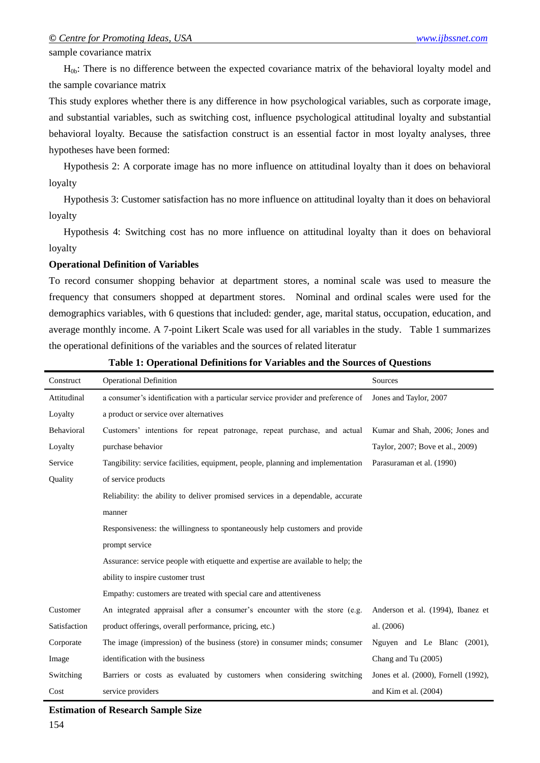sample covariance matrix

H0b: There is no difference between the expected covariance matrix of the behavioral loyalty model and the sample covariance matrix

This study explores whether there is any difference in how psychological variables, such as corporate image, and substantial variables, such as switching cost, influence psychological attitudinal loyalty and substantial behavioral loyalty. Because the satisfaction construct is an essential factor in most loyalty analyses, three hypotheses have been formed:

Hypothesis 2: A corporate image has no more influence on attitudinal loyalty than it does on behavioral loyalty

Hypothesis 3: Customer satisfaction has no more influence on attitudinal loyalty than it does on behavioral loyalty

Hypothesis 4: Switching cost has no more influence on attitudinal loyalty than it does on behavioral loyalty

#### **Operational Definition of Variables**

To record consumer shopping behavior at department stores, a nominal scale was used to measure the frequency that consumers shopped at department stores. Nominal and ordinal scales were used for the demographics variables, with 6 questions that included: gender, age, marital status, occupation, education, and average monthly income. A 7-point Likert Scale was used for all variables in the study. Table 1 summarizes the operational definitions of the variables and the sources of related literatur

| Construct    | <b>Operational Definition</b>                                                     | Sources                              |
|--------------|-----------------------------------------------------------------------------------|--------------------------------------|
| Attitudinal  | a consumer's identification with a particular service provider and preference of  | Jones and Taylor, 2007               |
| Loyalty      | a product or service over alternatives                                            |                                      |
| Behavioral   | Customers' intentions for repeat patronage, repeat purchase, and actual           | Kumar and Shah, 2006; Jones and      |
| Loyalty      | purchase behavior                                                                 | Taylor, 2007; Bove et al., 2009)     |
| Service      | Tangibility: service facilities, equipment, people, planning and implementation   | Parasuraman et al. (1990)            |
| Quality      | of service products                                                               |                                      |
|              | Reliability: the ability to deliver promised services in a dependable, accurate   |                                      |
|              | manner                                                                            |                                      |
|              | Responsiveness: the willingness to spontaneously help customers and provide       |                                      |
|              | prompt service                                                                    |                                      |
|              | Assurance: service people with etiquette and expertise are available to help; the |                                      |
|              | ability to inspire customer trust                                                 |                                      |
|              | Empathy: customers are treated with special care and attentiveness                |                                      |
| Customer     | An integrated appraisal after a consumer's encounter with the store (e.g.         | Anderson et al. (1994), Ibanez et    |
| Satisfaction | product offerings, overall performance, pricing, etc.)                            | al. (2006)                           |
| Corporate    | The image (impression) of the business (store) in consumer minds; consumer        | Nguyen and Le Blanc (2001),          |
| Image        | identification with the business                                                  | Chang and Tu (2005)                  |
| Switching    | Barriers or costs as evaluated by customers when considering switching            | Jones et al. (2000), Fornell (1992), |
| Cost         | service providers                                                                 | and Kim et al. (2004)                |

**Table 1: Operational Definitions for Variables and the Sources of Questions**

**Estimation of Research Sample Size**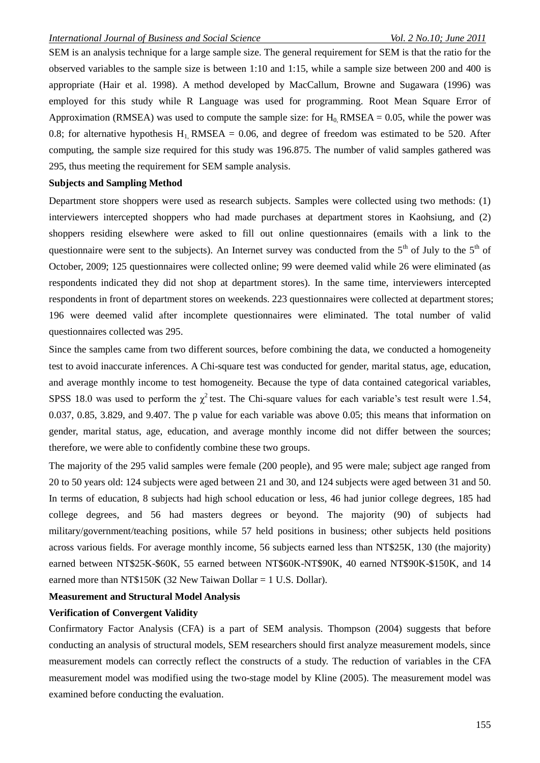SEM is an analysis technique for a large sample size. The general requirement for SEM is that the ratio for the observed variables to the sample size is between 1:10 and 1:15, while a sample size between 200 and 400 is appropriate (Hair et al. 1998). A method developed by MacCallum, Browne and Sugawara (1996) was employed for this study while R Language was used for programming. Root Mean Square Error of Approximation (RMSEA) was used to compute the sample size: for  $H_0$ , RMSEA = 0.05, while the power was 0.8; for alternative hypothesis  $H_1$ , RMSEA = 0.06, and degree of freedom was estimated to be 520. After computing, the sample size required for this study was 196.875. The number of valid samples gathered was 295, thus meeting the requirement for SEM sample analysis.

## **Subjects and Sampling Method**

Department store shoppers were used as research subjects. Samples were collected using two methods: (1) interviewers intercepted shoppers who had made purchases at department stores in Kaohsiung, and (2) shoppers residing elsewhere were asked to fill out online questionnaires (emails with a link to the questionnaire were sent to the subjects). An Internet survey was conducted from the 5<sup>th</sup> of July to the 5<sup>th</sup> of October, 2009; 125 questionnaires were collected online; 99 were deemed valid while 26 were eliminated (as respondents indicated they did not shop at department stores). In the same time, interviewers intercepted respondents in front of department stores on weekends. 223 questionnaires were collected at department stores; 196 were deemed valid after incomplete questionnaires were eliminated. The total number of valid questionnaires collected was 295.

Since the samples came from two different sources, before combining the data, we conducted a homogeneity test to avoid inaccurate inferences. A Chi-square test was conducted for gender, marital status, age, education, and average monthly income to test homogeneity. Because the type of data contained categorical variables, SPSS 18.0 was used to perform the  $\chi^2$  test. The Chi-square values for each variable's test result were 1.54, 0.037, 0.85, 3.829, and 9.407. The p value for each variable was above 0.05; this means that information on gender, marital status, age, education, and average monthly income did not differ between the sources; therefore, we were able to confidently combine these two groups.

The majority of the 295 valid samples were female (200 people), and 95 were male; subject age ranged from 20 to 50 years old: 124 subjects were aged between 21 and 30, and 124 subjects were aged between 31 and 50. In terms of education, 8 subjects had high school education or less, 46 had junior college degrees, 185 had college degrees, and 56 had masters degrees or beyond. The majority (90) of subjects had military/government/teaching positions, while 57 held positions in business; other subjects held positions across various fields. For average monthly income, 56 subjects earned less than NT\$25K, 130 (the majority) earned between NT\$25K-\$60K, 55 earned between NT\$60K-NT\$90K, 40 earned NT\$90K-\$150K, and 14 earned more than NT\$150K (32 New Taiwan Dollar  $= 1$  U.S. Dollar).

## **Measurement and Structural Model Analysis**

## **Verification of Convergent Validity**

Confirmatory Factor Analysis (CFA) is a part of SEM analysis. Thompson (2004) suggests that before conducting an analysis of structural models, SEM researchers should first analyze measurement models, since measurement models can correctly reflect the constructs of a study. The reduction of variables in the CFA measurement model was modified using the two-stage model by Kline (2005). The measurement model was examined before conducting the evaluation.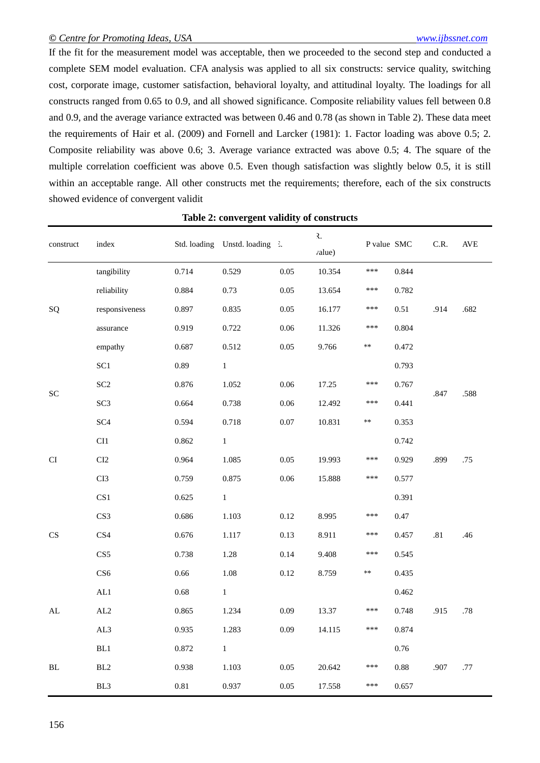If the fit for the measurement model was acceptable, then we proceeded to the second step and conducted a complete SEM model evaluation. CFA analysis was applied to all six constructs: service quality, switching cost, corporate image, customer satisfaction, behavioral loyalty, and attitudinal loyalty. The loadings for all constructs ranged from 0.65 to 0.9, and all showed significance. Composite reliability values fell between 0.8 and 0.9, and the average variance extracted was between 0.46 and 0.78 (as shown in Table 2). These data meet the requirements of Hair et al. (2009) and Fornell and Larcker (1981): 1. Factor loading was above 0.5; 2. Composite reliability was above 0.6; 3. Average variance extracted was above 0.5; 4. The square of the multiple correlation coefficient was above 0.5. Even though satisfaction was slightly below 0.5, it is still within an acceptable range. All other constructs met the requirements; therefore, each of the six constructs showed evidence of convergent validit

| construct                  | index           |          | Std. loading Unstd. loading 3. |          | ₹.<br><i>ralue</i> ) | P value SMC |          | C.R.    | $\operatorname{AVE}$ |
|----------------------------|-----------------|----------|--------------------------------|----------|----------------------|-------------|----------|---------|----------------------|
|                            | tangibility     | 0.714    | 0.529                          | 0.05     | 10.354               | ***         | 0.844    |         |                      |
|                            | reliability     | 0.884    | 0.73                           | 0.05     | 13.654               | ***         | 0.782    |         |                      |
| SQ                         | responsiveness  | 0.897    | 0.835                          | 0.05     | 16.177               | ***         | 0.51     | .914    | .682                 |
|                            | assurance       | 0.919    | 0.722                          | 0.06     | 11.326               | ***         | 0.804    |         |                      |
|                            | empathy         | 0.687    | 0.512                          | 0.05     | 9.766                | $\ast\ast$  | 0.472    |         |                      |
|                            | SC1             | 0.89     | $\,1$                          |          |                      |             | 0.793    |         |                      |
| SC                         | SC <sub>2</sub> | 0.876    | 1.052                          | 0.06     | 17.25                | ***         | 0.767    | .847    | .588                 |
|                            | SC <sub>3</sub> | 0.664    | 0.738                          | 0.06     | 12.492               | ***         | 0.441    |         |                      |
|                            | SC <sub>4</sub> | 0.594    | 0.718                          | 0.07     | 10.831               | $\ast\ast$  | 0.353    |         |                      |
|                            | CI1             | 0.862    | $\,1$                          |          |                      |             | 0.742    |         |                      |
| $\mathop{\rm CI}\nolimits$ | CI2             | 0.964    | 1.085                          | 0.05     | 19.993               | ***         | 0.929    | .899    | .75                  |
|                            | CI3             | 0.759    | 0.875                          | 0.06     | 15.888               | ***         | 0.577    |         |                      |
|                            | CS <sub>1</sub> | 0.625    | $\,1$                          |          |                      |             | 0.391    |         |                      |
|                            | CS <sub>3</sub> | 0.686    | 1.103                          | $0.12\,$ | 8.995                | ***         | 0.47     |         |                      |
| CS                         | CS4             | 0.676    | 1.117                          | 0.13     | 8.911                | ***         | 0.457    | $.81\,$ | .46                  |
|                            | CS5             | 0.738    | 1.28                           | 0.14     | 9.408                | ***         | 0.545    |         |                      |
|                            | CS <sub>6</sub> | 0.66     | 1.08                           | 0.12     | 8.759                | k∗          | 0.435    |         |                      |
|                            | $\mbox{AL1}$    | $0.68\,$ | $\,1$                          |          |                      |             | 0.462    |         |                      |
| $\mathbf{AL}$              | AL2             | 0.865    | 1.234                          | 0.09     | 13.37                | ***         | 0.748    | .915    | $.78\,$              |
|                            | AL3             | 0.935    | 1.283                          | 0.09     | 14.115               | ***         | 0.874    |         |                      |
|                            | BL1             | 0.872    | $\,1$                          |          |                      |             | 0.76     |         |                      |
| BL                         | BL2             | 0.938    | 1.103                          | 0.05     | 20.642               | ***         | $0.88\,$ | .907    | .77                  |
|                            | BL3             | $0.81\,$ | 0.937                          | 0.05     | 17.558               | ***         | 0.657    |         |                      |

**Table 2: convergent validity of constructs**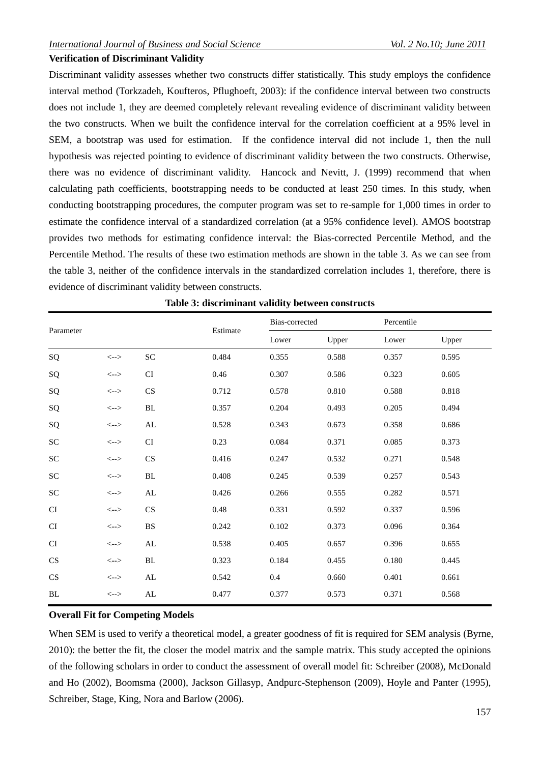## **Verification of Discriminant Validity**

Discriminant validity assesses whether two constructs differ statistically. This study employs the confidence interval method (Torkzadeh, Koufteros, Pflughoeft, 2003): if the confidence interval between two constructs does not include 1, they are deemed completely relevant revealing evidence of discriminant validity between the two constructs. When we built the confidence interval for the correlation coefficient at a 95% level in SEM, a bootstrap was used for estimation. If the confidence interval did not include 1, then the null hypothesis was rejected pointing to evidence of discriminant validity between the two constructs. Otherwise, there was no evidence of discriminant validity. Hancock and Nevitt, J. (1999) recommend that when calculating path coefficients, bootstrapping needs to be conducted at least 250 times. In this study, when conducting bootstrapping procedures, the computer program was set to re-sample for 1,000 times in order to estimate the confidence interval of a standardized correlation (at a 95% confidence level). AMOS bootstrap provides two methods for estimating confidence interval: the Bias-corrected Percentile Method, and the Percentile Method. The results of these two estimation methods are shown in the table 3. As we can see from the table 3, neither of the confidence intervals in the standardized correlation includes 1, therefore, there is evidence of discriminant validity between constructs.

|                        |                                         |                        | Estimate | Bias-corrected |       | Percentile |       |  |
|------------------------|-----------------------------------------|------------------------|----------|----------------|-------|------------|-------|--|
| Parameter              |                                         |                        |          | Lower          | Upper | Lower      | Upper |  |
| SQ                     | $\left\langle \text{--}\right\rangle$   | ${\rm SC}$             | 0.484    | 0.355          | 0.588 | 0.357      | 0.595 |  |
| SQ                     | $\left\langle \leftarrow \right\rangle$ | <b>CI</b>              | 0.46     | 0.307          | 0.586 | 0.323      | 0.605 |  |
| SQ                     | $\left\langle \leftarrow \right\rangle$ | CS                     | 0.712    | 0.578          | 0.810 | 0.588      | 0.818 |  |
| SQ                     | $\left\langle \leftarrow \right\rangle$ | $\rm BL$               | 0.357    | 0.204          | 0.493 | 0.205      | 0.494 |  |
| SQ                     | $\left\langle \leftarrow \right\rangle$ | AL                     | 0.528    | 0.343          | 0.673 | 0.358      | 0.686 |  |
| ${\rm SC}$             | $\left\langle \leftarrow \right\rangle$ | <b>CI</b>              | 0.23     | 0.084          | 0.371 | 0.085      | 0.373 |  |
| ${\rm SC}$             | $\left\langle \leftarrow \right\rangle$ | CS                     | 0.416    | 0.247          | 0.532 | 0.271      | 0.548 |  |
| ${\rm SC}$             | $\left\langle \text{--}\right\rangle$   | <b>BL</b>              | 0.408    | 0.245          | 0.539 | 0.257      | 0.543 |  |
| ${\rm SC}$             | $\left\langle \text{--}\right\rangle$   | ${\rm AL}$             | 0.426    | 0.266          | 0.555 | 0.282      | 0.571 |  |
| CI                     | $\left\langle \leftarrow \right\rangle$ | CS                     | 0.48     | 0.331          | 0.592 | 0.337      | 0.596 |  |
| <b>CI</b>              | $\left\langle \leftarrow \right\rangle$ | $\mathbf{B}\mathbf{S}$ | 0.242    | 0.102          | 0.373 | 0.096      | 0.364 |  |
| <b>CI</b>              | $\left\langle \leftarrow \right\rangle$ | AL                     | 0.538    | 0.405          | 0.657 | 0.396      | 0.655 |  |
| $\mathbf{C}\mathbf{S}$ | $\left\langle \text{--}\right\rangle$   | $\rm BL$               | 0.323    | 0.184          | 0.455 | 0.180      | 0.445 |  |
| $\mathbf{C}\mathbf{S}$ | $\left\langle \leftarrow \right\rangle$ | AL                     | 0.542    | $0.4\,$        | 0.660 | 0.401      | 0.661 |  |
| BL                     | $\left\langle \leftarrow \right\rangle$ | AL                     | 0.477    | 0.377          | 0.573 | 0.371      | 0.568 |  |

|  |  | Table 3: discriminant validity between constructs |  |  |  |
|--|--|---------------------------------------------------|--|--|--|
|--|--|---------------------------------------------------|--|--|--|

## **Overall Fit for Competing Models**

When SEM is used to verify a theoretical model, a greater goodness of fit is required for SEM analysis (Byrne, 2010): the better the fit, the closer the model matrix and the sample matrix. This study accepted the opinions of the following scholars in order to conduct the assessment of overall model fit: Schreiber (2008), McDonald and Ho (2002), Boomsma (2000), Jackson Gillasyp, Andpurc-Stephenson (2009), Hoyle and Panter (1995), Schreiber, Stage, King, Nora and Barlow (2006).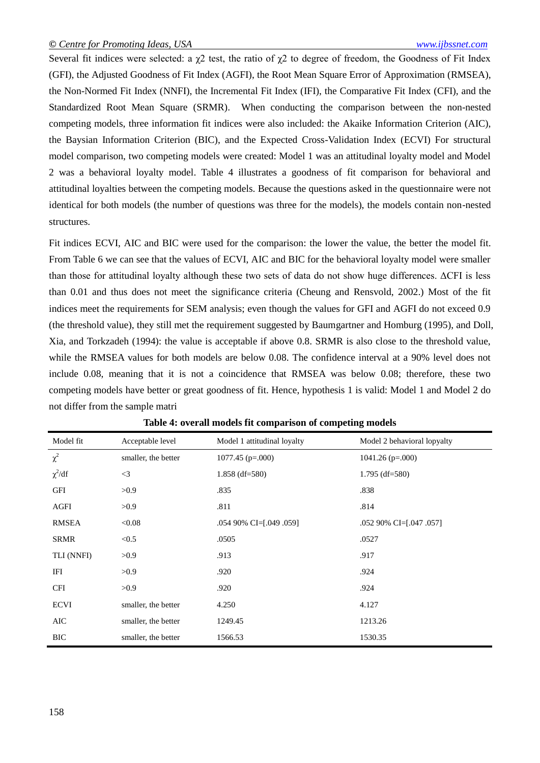Several fit indices were selected: a  $\chi$ 2 test, the ratio of  $\chi$ 2 to degree of freedom, the Goodness of Fit Index (GFI), the Adjusted Goodness of Fit Index (AGFI), the Root Mean Square Error of Approximation (RMSEA), the Non-Normed Fit Index (NNFI), the Incremental Fit Index (IFI), the Comparative Fit Index (CFI), and the Standardized Root Mean Square (SRMR). When conducting the comparison between the non-nested competing models, three information fit indices were also included: the Akaike Information Criterion (AIC), the Baysian Information Criterion (BIC), and the Expected Cross-Validation Index (ECVI) For structural model comparison, two competing models were created: Model 1 was an attitudinal loyalty model and Model 2 was a behavioral loyalty model. Table 4 illustrates a goodness of fit comparison for behavioral and attitudinal loyalties between the competing models. Because the questions asked in the questionnaire were not identical for both models (the number of questions was three for the models), the models contain non-nested structures.

Fit indices ECVI, AIC and BIC were used for the comparison: the lower the value, the better the model fit. From Table 6 we can see that the values of ECVI, AIC and BIC for the behavioral loyalty model were smaller than those for attitudinal loyalty although these two sets of data do not show huge differences. ΔCFI is less than 0.01 and thus does not meet the significance criteria (Cheung and Rensvold, 2002.) Most of the fit indices meet the requirements for SEM analysis; even though the values for GFI and AGFI do not exceed 0.9 (the threshold value), they still met the requirement suggested by Baumgartner and Homburg (1995), and Doll, Xia, and Torkzadeh (1994): the value is acceptable if above 0.8. SRMR is also close to the threshold value, while the RMSEA values for both models are below 0.08. The confidence interval at a 90% level does not include 0.08, meaning that it is not a coincidence that RMSEA was below 0.08; therefore, these two competing models have better or great goodness of fit. Hence, hypothesis 1 is valid: Model 1 and Model 2 do not differ from the sample matri

| Model fit    | Acceptable level    | Model 1 attitudinal loyalty | Model 2 behavioral lopyalty |
|--------------|---------------------|-----------------------------|-----------------------------|
| $\chi^2$     | smaller, the better | $1077.45$ (p=.000)          | $1041.26$ (p=.000)          |
| $\chi^2/df$  | $\leq$ 3            | $1.858$ (df=580)            | $1.795$ (df=580)            |
| <b>GFI</b>   | >0.9                | .835                        | .838                        |
| AGFI         | >0.9                | .811                        | .814                        |
| <b>RMSEA</b> | < 0.08              | .054 90% CI=[.049 .059]     | .052 90% CI=[.047 .057]     |
| <b>SRMR</b>  | < 0.5               | .0505                       | .0527                       |
| TLI (NNFI)   | >0.9                | .913                        | .917                        |
| IFI          | >0.9                | .920                        | .924                        |
| <b>CFI</b>   | >0.9                | .920                        | .924                        |
| <b>ECVI</b>  | smaller, the better | 4.250                       | 4.127                       |
| AIC          | smaller, the better | 1249.45                     | 1213.26                     |
| <b>BIC</b>   | smaller, the better | 1566.53                     | 1530.35                     |

| Table 4: overall models fit comparison of competing models |  |  |  |
|------------------------------------------------------------|--|--|--|
|------------------------------------------------------------|--|--|--|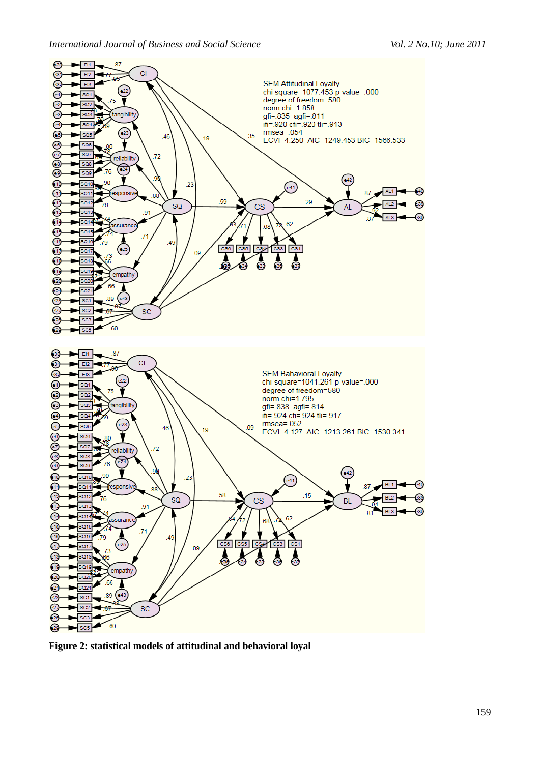

**Figure 2: statistical models of attitudinal and behavioral loyal**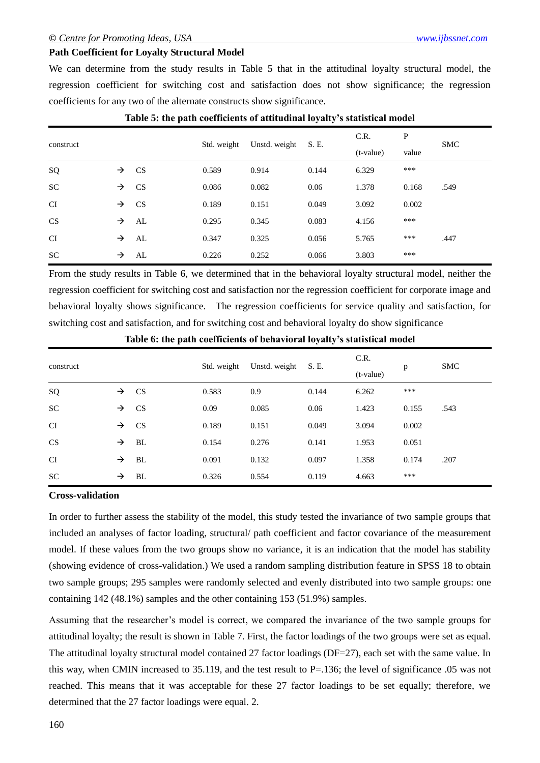## **Path Coefficient for Loyalty Structural Model**

We can determine from the study results in Table 5 that in the attitudinal loyalty structural model, the regression coefficient for switching cost and satisfaction does not show significance; the regression coefficients for any two of the alternate constructs show significance.

|           |               |           |             |               |       | C.R.        | P     | <b>SMC</b> |  |
|-----------|---------------|-----------|-------------|---------------|-------|-------------|-------|------------|--|
| construct |               |           | Std. weight | Unstd. weight | S. E. | $(t-value)$ | value |            |  |
| SQ        | $\rightarrow$ | <b>CS</b> | 0.589       | 0.914         | 0.144 | 6.329       | ***   |            |  |
| <b>SC</b> | $\rightarrow$ | <b>CS</b> | 0.086       | 0.082         | 0.06  | 1.378       | 0.168 | .549       |  |
| <b>CI</b> | $\rightarrow$ | <b>CS</b> | 0.189       | 0.151         | 0.049 | 3.092       | 0.002 |            |  |
| CS        | →             | AL        | 0.295       | 0.345         | 0.083 | 4.156       | ***   |            |  |
| <b>CI</b> | $\rightarrow$ | AL        | 0.347       | 0.325         | 0.056 | 5.765       | ***   | .447       |  |
| <b>SC</b> | →             | AL        | 0.226       | 0.252         | 0.066 | 3.803       | ***   |            |  |

## **Table 5: the path coefficients of attitudinal loyalty's statistical model**

From the study results in Table 6, we determined that in the behavioral loyalty structural model, neither the regression coefficient for switching cost and satisfaction nor the regression coefficient for corporate image and behavioral loyalty shows significance. The regression coefficients for service quality and satisfaction, for switching cost and satisfaction, and for switching cost and behavioral loyalty do show significance

| construct |               |           | Std. weight | Unstd. weight | S. E. | C.R.<br>$(t-value)$ | p     | <b>SMC</b> |
|-----------|---------------|-----------|-------------|---------------|-------|---------------------|-------|------------|
| SQ        | $\rightarrow$ | <b>CS</b> | 0.583       | 0.9           | 0.144 | 6.262               | ***   |            |
| <b>SC</b> | $\rightarrow$ | <b>CS</b> | 0.09        | 0.085         | 0.06  | 1.423               | 0.155 | .543       |
| <b>CI</b> | $\rightarrow$ | <b>CS</b> | 0.189       | 0.151         | 0.049 | 3.094               | 0.002 |            |
| CS        | $\rightarrow$ | BL        | 0.154       | 0.276         | 0.141 | 1.953               | 0.051 |            |
| CI        | $\rightarrow$ | BL        | 0.091       | 0.132         | 0.097 | 1.358               | 0.174 | .207       |
| <b>SC</b> | →             | BL        | 0.326       | 0.554         | 0.119 | 4.663               | ***   |            |

**Table 6: the path coefficients of behavioral loyalty's statistical model**

### **Cross-validation**

In order to further assess the stability of the model, this study tested the invariance of two sample groups that included an analyses of factor loading, structural/ path coefficient and factor covariance of the measurement model. If these values from the two groups show no variance, it is an indication that the model has stability (showing evidence of cross-validation.) We used a random sampling distribution feature in SPSS 18 to obtain two sample groups; 295 samples were randomly selected and evenly distributed into two sample groups: one containing 142 (48.1%) samples and the other containing 153 (51.9%) samples.

Assuming that the researcher's model is correct, we compared the invariance of the two sample groups for attitudinal loyalty; the result is shown in Table 7. First, the factor loadings of the two groups were set as equal. The attitudinal loyalty structural model contained 27 factor loadings (DF=27), each set with the same value. In this way, when CMIN increased to 35.119, and the test result to P=.136; the level of significance .05 was not reached. This means that it was acceptable for these 27 factor loadings to be set equally; therefore, we determined that the 27 factor loadings were equal. 2.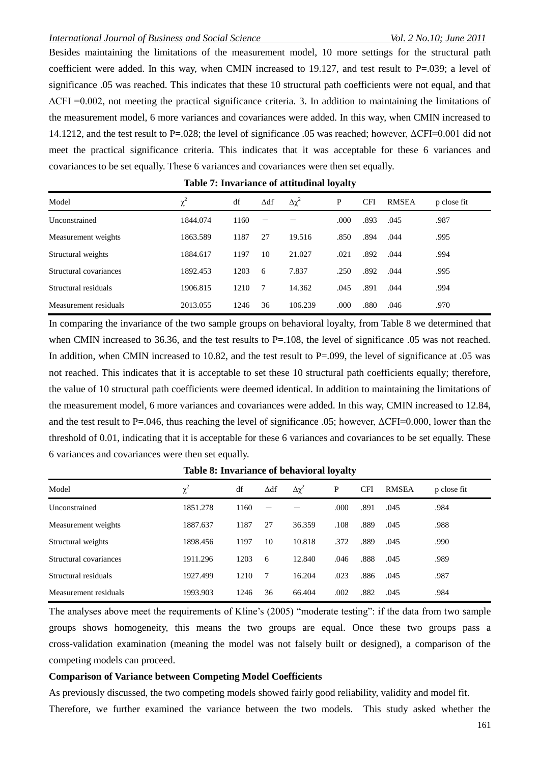## *International Journal of Business and Social Science Vol. 2 No.10; June 2011*

Besides maintaining the limitations of the measurement model, 10 more settings for the structural path coefficient were added. In this way, when CMIN increased to 19.127, and test result to  $P=.039$ ; a level of significance .05 was reached. This indicates that these 10 structural path coefficients were not equal, and that  $\Delta$ CFI = 0.002, not meeting the practical significance criteria. 3. In addition to maintaining the limitations of the measurement model, 6 more variances and covariances were added. In this way, when CMIN increased to 14.1212, and the test result to P=.028; the level of significance .05 was reached; however, ΔCFI=0.001 did not meet the practical significance criteria. This indicates that it was acceptable for these 6 variances and covariances to be set equally. These 6 variances and covariances were then set equally.

| Model                  | $\chi^2$ | df   | $\Delta df$ | $\Delta \chi^2$ | P    | <b>CFI</b> | <b>RMSEA</b> | p close fit |
|------------------------|----------|------|-------------|-----------------|------|------------|--------------|-------------|
| Unconstrained          | 1844.074 | 1160 |             |                 | .000 | .893       | .045         | .987        |
| Measurement weights    | 1863.589 | 1187 | 27          | 19.516          | .850 | .894       | .044         | .995        |
| Structural weights     | 1884.617 | 1197 | 10          | 21.027          | .021 | .892       | .044         | .994        |
| Structural covariances | 1892.453 | 1203 | 6           | 7.837           | .250 | .892       | .044         | .995        |
| Structural residuals   | 1906.815 | 1210 | 7           | 14.362          | .045 | .891       | .044         | .994        |
| Measurement residuals  | 2013.055 | 1246 | 36          | 106.239         | .000 | .880       | .046         | .970        |

**Table 7: Invariance of attitudinal loyalty**

In comparing the invariance of the two sample groups on behavioral loyalty, from Table 8 we determined that when CMIN increased to 36.36, and the test results to P=.108, the level of significance .05 was not reached. In addition, when CMIN increased to 10.82, and the test result to P=.099, the level of significance at .05 was not reached. This indicates that it is acceptable to set these 10 structural path coefficients equally; therefore, the value of 10 structural path coefficients were deemed identical. In addition to maintaining the limitations of the measurement model, 6 more variances and covariances were added. In this way, CMIN increased to 12.84, and the test result to P=.046, thus reaching the level of significance .05; however, ΔCFI=0.000, lower than the threshold of 0.01, indicating that it is acceptable for these 6 variances and covariances to be set equally. These 6 variances and covariances were then set equally.

| Model                  | $\chi^2$ | df   | $\Delta df$ | $\Delta \chi^2$ | P    | <b>CFI</b> | <b>RMSEA</b> | p close fit |  |
|------------------------|----------|------|-------------|-----------------|------|------------|--------------|-------------|--|
| Unconstrained          | 1851.278 | 1160 |             |                 | .000 | .891       | .045         | .984        |  |
| Measurement weights    | 1887.637 | 1187 | 27          | 36.359          | .108 | .889       | .045         | .988        |  |
| Structural weights     | 1898.456 | 1197 | 10          | 10.818          | .372 | .889       | .045         | .990        |  |
| Structural covariances | 1911.296 | 1203 | 6           | 12.840          | .046 | .888       | .045         | .989        |  |
| Structural residuals   | 1927.499 | 1210 | -7          | 16.204          | .023 | .886       | .045         | .987        |  |
| Measurement residuals  | 1993.903 | 1246 | 36          | 66.404          | .002 | .882       | .045         | .984        |  |

**Table 8: Invariance of behavioral loyalty**

The analyses above meet the requirements of Kline's (2005) "moderate testing": if the data from two sample groups shows homogeneity, this means the two groups are equal. Once these two groups pass a cross-validation examination (meaning the model was not falsely built or designed), a comparison of the competing models can proceed.

#### **Comparison of Variance between Competing Model Coefficients**

As previously discussed, the two competing models showed fairly good reliability, validity and model fit.

Therefore, we further examined the variance between the two models. This study asked whether the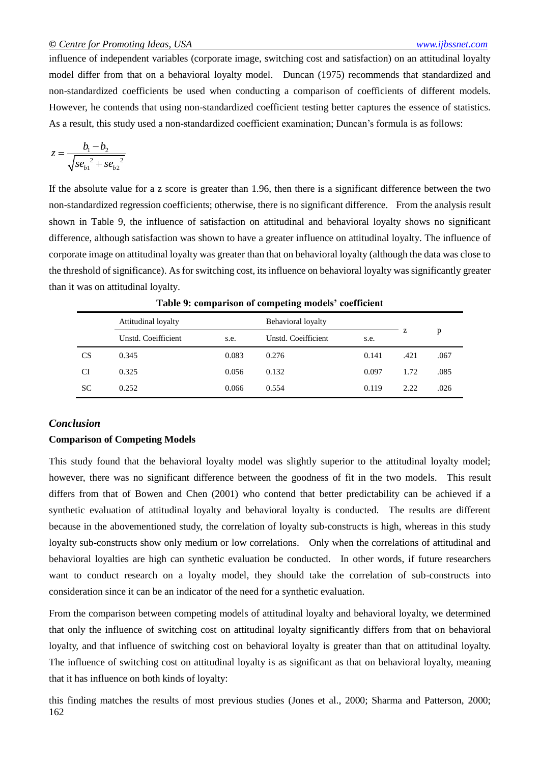influence of independent variables (corporate image, switching cost and satisfaction) on an attitudinal loyalty model differ from that on a behavioral loyalty model. Duncan (1975) recommends that standardized and non-standardized coefficients be used when conducting a comparison of coefficients of different models. However, he contends that using non-standardized coefficient testing better captures the essence of statistics. As a result, this study used a non-standardized coefficient examination; Duncan's formula is as follows:

$$
z = \frac{b_1 - b_2}{\sqrt{se_{b1}^2 + se_{b2}^2}}
$$

If the absolute value for a z score is greater than 1.96, then there is a significant difference between the two non-standardized regression coefficients; otherwise, there is no significant difference. From the analysis result shown in Table 9, the influence of satisfaction on attitudinal and behavioral loyalty shows no significant difference, although satisfaction was shown to have a greater influence on attitudinal loyalty. The influence of corporate image on attitudinal loyalty was greater than that on behavioral loyalty (although the data was close to the threshold of significance). As for switching cost, its influence on behavioral loyalty was significantly greater than it was on attitudinal loyalty.

|           | Attitudinal loyalty |       | Behavioral loyalty  | z                     | p    |      |
|-----------|---------------------|-------|---------------------|-----------------------|------|------|
|           | Unstd. Coeifficient | s.e.  | Unstd. Coeifficient | s.e.<br>0.141<br>.421 |      |      |
| <b>CS</b> | 0.345               | 0.083 | 0.276               |                       |      | .067 |
| CI        | 0.325               | 0.056 | 0.132               | 0.097                 | 1.72 | .085 |
| <b>SC</b> | 0.252               | 0.066 | 0.554               | 0.119                 | 2.22 | .026 |

**Table 9: comparison of competing models' coefficient**

# *Conclusion*

## **Comparison of Competing Models**

This study found that the behavioral loyalty model was slightly superior to the attitudinal loyalty model; however, there was no significant difference between the goodness of fit in the two models. This result differs from that of Bowen and Chen (2001) who contend that better predictability can be achieved if a synthetic evaluation of attitudinal loyalty and behavioral loyalty is conducted. The results are different because in the abovementioned study, the correlation of loyalty sub-constructs is high, whereas in this study loyalty sub-constructs show only medium or low correlations. Only when the correlations of attitudinal and behavioral loyalties are high can synthetic evaluation be conducted. In other words, if future researchers want to conduct research on a loyalty model, they should take the correlation of sub-constructs into consideration since it can be an indicator of the need for a synthetic evaluation.

From the comparison between competing models of attitudinal loyalty and behavioral loyalty, we determined that only the influence of switching cost on attitudinal loyalty significantly differs from that on behavioral loyalty, and that influence of switching cost on behavioral loyalty is greater than that on attitudinal loyalty. The influence of switching cost on attitudinal loyalty is as significant as that on behavioral loyalty, meaning that it has influence on both kinds of loyalty:

162 this finding matches the results of most previous studies (Jones et al., 2000; Sharma and Patterson, 2000;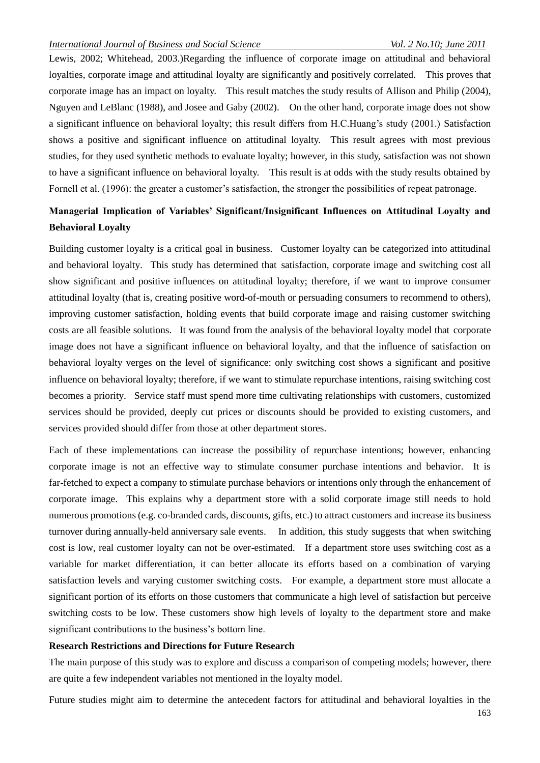Lewis, 2002; Whitehead, 2003.)Regarding the influence of corporate image on attitudinal and behavioral loyalties, corporate image and attitudinal loyalty are significantly and positively correlated. This proves that corporate image has an impact on loyalty. This result matches the study results of Allison and Philip (2004), Nguyen and LeBlanc (1988), and Josee and Gaby (2002). On the other hand, corporate image does not show a significant influence on behavioral loyalty; this result differs from H.C.Huang's study (2001.) Satisfaction shows a positive and significant influence on attitudinal loyalty. This result agrees with most previous studies, for they used synthetic methods to evaluate loyalty; however, in this study, satisfaction was not shown to have a significant influence on behavioral loyalty. This result is at odds with the study results obtained by Fornell et al. (1996): the greater a customer's satisfaction, the stronger the possibilities of repeat patronage.

# **Managerial Implication of Variables' Significant/Insignificant Influences on Attitudinal Loyalty and Behavioral Loyalty**

Building customer loyalty is a critical goal in business. Customer loyalty can be categorized into attitudinal and behavioral loyalty. This study has determined that satisfaction, corporate image and switching cost all show significant and positive influences on attitudinal loyalty; therefore, if we want to improve consumer attitudinal loyalty (that is, creating positive word-of-mouth or persuading consumers to recommend to others), improving customer satisfaction, holding events that build corporate image and raising customer switching costs are all feasible solutions. It was found from the analysis of the behavioral loyalty model that corporate image does not have a significant influence on behavioral loyalty, and that the influence of satisfaction on behavioral loyalty verges on the level of significance: only switching cost shows a significant and positive influence on behavioral loyalty; therefore, if we want to stimulate repurchase intentions, raising switching cost becomes a priority. Service staff must spend more time cultivating relationships with customers, customized services should be provided, deeply cut prices or discounts should be provided to existing customers, and services provided should differ from those at other department stores.

Each of these implementations can increase the possibility of repurchase intentions; however, enhancing corporate image is not an effective way to stimulate consumer purchase intentions and behavior. It is far-fetched to expect a company to stimulate purchase behaviors or intentions only through the enhancement of corporate image. This explains why a department store with a solid corporate image still needs to hold numerous promotions (e.g. co-branded cards, discounts, gifts, etc.) to attract customers and increase its business turnover during annually-held anniversary sale events. In addition, this study suggests that when switching cost is low, real customer loyalty can not be over-estimated. If a department store uses switching cost as a variable for market differentiation, it can better allocate its efforts based on a combination of varying satisfaction levels and varying customer switching costs. For example, a department store must allocate a significant portion of its efforts on those customers that communicate a high level of satisfaction but perceive switching costs to be low. These customers show high levels of loyalty to the department store and make significant contributions to the business's bottom line.

#### **Research Restrictions and Directions for Future Research**

The main purpose of this study was to explore and discuss a comparison of competing models; however, there are quite a few independent variables not mentioned in the loyalty model.

Future studies might aim to determine the antecedent factors for attitudinal and behavioral loyalties in the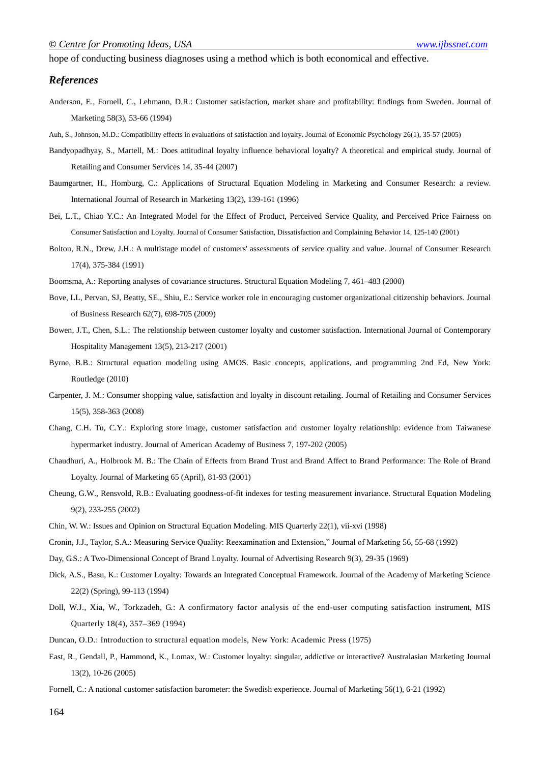hope of conducting business diagnoses using a method which is both economical and effective.

#### *References*

- Anderson, E., Fornell, C., Lehmann, D.R.: Customer satisfaction, market share and profitability: findings from Sweden. Journal of Marketing 58(3), 53-66 (1994)
- Auh, S., Johnson, M.D.: Compatibility effects in evaluations of satisfaction and loyalty. Journal of Economic Psychology 26(1), 35-57 (2005)
- Bandyopadhyay, S., Martell, M.: Does attitudinal loyalty influence behavioral loyalty? A theoretical and empirical study. Journal of Retailing and Consumer Services 14, 35-44 (2007)
- Baumgartner, H., Homburg, C.: Applications of Structural Equation Modeling in Marketing and Consumer Research: a review. International Journal of Research in Marketing 13(2), 139-161 (1996)
- Bei, L.T., Chiao Y.C.: An Integrated Model for the Effect of Product, Perceived Service Quality, and Perceived Price Fairness on Consumer Satisfaction and Loyalty. Journal of Consumer Satisfaction, Dissatisfaction and Complaining Behavior 14, 125-140 (2001)
- Bolton, R.N., Drew, J.H.: A multistage model of customers' assessments of service quality and value. Journal of Consumer Research 17(4), 375-384 (1991)
- Boomsma, A.: Reporting analyses of covariance structures. Structural Equation Modeling 7, 461–483 (2000)
- Bove, LL, Pervan, SJ, Beatty, SE., Shiu, E.: Service worker role in encouraging customer organizational citizenship behaviors. Journal of Business Research 62(7), 698-705 (2009)
- Bowen, J.T., Chen, S.L.: The relationship between customer loyalty and customer satisfaction. International Journal of Contemporary Hospitality Management 13(5), 213-217 (2001)
- Byrne, B.B.: Structural equation modeling using AMOS. Basic concepts, applications, and programming 2nd Ed, New York: Routledge (2010)
- Carpenter, J. M.: Consumer shopping value, satisfaction and loyalty in discount retailing. Journal of Retailing and Consumer Services 15(5), 358-363 (2008)
- Chang, C.H. Tu, C.Y.: Exploring store image, customer satisfaction and customer loyalty relationship: evidence from Taiwanese hypermarket industry. Journal of American Academy of Business 7, 197-202 (2005)
- Chaudhuri, A., Holbrook M. B.: The Chain of Effects from Brand Trust and Brand Affect to Brand Performance: The Role of Brand Loyalty. Journal of Marketing 65 (April), 81-93 (2001)
- Cheung, G.W., Rensvold, R.B.: Evaluating goodness-of-fit indexes for testing measurement invariance. Structural Equation Modeling 9(2), 233-255 (2002)
- Chin, W. W.: Issues and Opinion on Structural Equation Modeling. MIS Quarterly 22(1), vii-xvi (1998)
- Cronin, J.J., Taylor, S.A.: Measuring Service Quality: Reexamination and Extension," Journal of Marketing 56, 55-68 (1992)
- Day, G.S.: A Two-Dimensional Concept of Brand Loyalty. Journal of Advertising Research 9(3), 29-35 (1969)
- Dick, A.S., Basu, K.: Customer Loyalty: Towards an Integrated Conceptual Framework. Journal of the Academy of Marketing Science 22(2) (Spring), 99-113 (1994)
- Doll, W.J., Xia, W., Torkzadeh, G.: A confirmatory factor analysis of the end-user computing satisfaction instrument, MIS Quarterly 18(4), 357–369 (1994)
- Duncan, O.D.: Introduction to structural equation models, New York: Academic Press (1975)
- East, R., Gendall, P., Hammond, K., Lomax, W.: Customer loyalty: singular, addictive or interactive? Australasian Marketing Journal 13(2), 10-26 (2005)
- Fornell, C.: A national customer satisfaction barometer: the Swedish experience. Journal of Marketing 56(1), 6-21 (1992)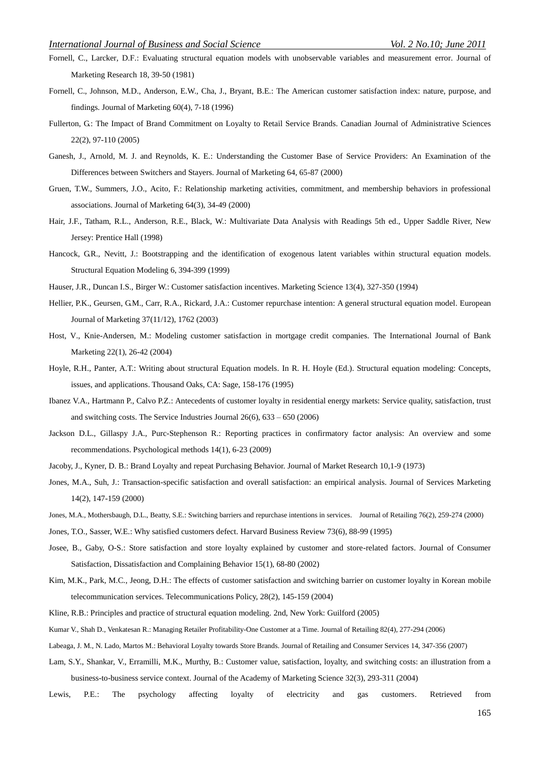- Fornell, C., Larcker, D.F.: Evaluating structural equation models with unobservable variables and measurement error. Journal of Marketing Research 18, 39-50 (1981)
- Fornell, C., Johnson, M.D., Anderson, E.W., Cha, J., Bryant, B.E.: The American customer satisfaction index: nature, purpose, and findings. Journal of Marketing 60(4), 7-18 (1996)
- Fullerton, G.: The Impact of Brand Commitment on Loyalty to Retail Service Brands. Canadian Journal of Administrative Sciences 22(2), 97-110 (2005)
- Ganesh, J., Arnold, M. J. and Reynolds, K. E.: Understanding the Customer Base of Service Providers: An Examination of the Differences between Switchers and Stayers. Journal of Marketing 64, 65-87 (2000)
- Gruen, T.W., Summers, J.O., Acito, F.: Relationship marketing activities, commitment, and membership behaviors in professional associations. Journal of Marketing 64(3), 34-49 (2000)
- Hair, J.F., Tatham, R.L., Anderson, R.E., Black, W.: Multivariate Data Analysis with Readings 5th ed., Upper Saddle River, New Jersey: Prentice Hall (1998)
- Hancock, G.R., Nevitt, J.: Bootstrapping and the identification of exogenous latent variables within structural equation models. Structural Equation Modeling 6, 394-399 (1999)
- Hauser, J.R., Duncan I.S., Birger W.: Customer satisfaction incentives. Marketing Science 13(4), 327-350 (1994)
- Hellier, P.K., Geursen, G.M., Carr, R.A., Rickard, J.A.: Customer repurchase intention: A general structural equation model. European Journal of Marketing 37(11/12), 1762 (2003)
- Host, V., Knie-Andersen, M.: Modeling customer satisfaction in mortgage credit companies. The International Journal of Bank Marketing 22(1), 26-42 (2004)
- Hoyle, R.H., Panter, A.T.: Writing about structural Equation models. In R. H. Hoyle (Ed.). Structural equation modeling: Concepts, issues, and applications. Thousand Oaks, CA: Sage, 158-176 (1995)
- Ibanez V.A., Hartmann P., Calvo P.Z.: Antecedents of customer loyalty in residential energy markets: Service quality, satisfaction, trust and switching costs. [The Service Industries Journal](http://www.informaworld.com/smpp/title~db=all~content=t713636505) [26\(](http://www.informaworld.com/smpp/title~db=all~content=t713636505~tab=issueslist~branches=26#v26)6), 633 – 650 (2006)
- Jackson D.L., Gillaspy J.A., Purc-Stephenson R.: Reporting practices in confirmatory factor analysis: An overview and some recommendations. Psychological methods 14(1), 6-23 (2009)
- Jacoby, J., Kyner, D. B.: Brand Loyalty and repeat Purchasing Behavior. Journal of Market Research 10,1-9 (1973)
- Jones, M.A., Suh, J.: Transaction-specific satisfaction and overall satisfaction: an empirical analysis. Journal of Services Marketing 14(2), 147-159 (2000)
- Jones, M.A., Mothersbaugh, D.L., Beatty, S.E.: Switching barriers and repurchase intentions in services. Journal of Retailing 76(2), 259-274 (2000)
- Jones, T.O., Sasser, W.E.: Why satisfied customers defect. Harvard Business Review 73(6), 88-99 (1995)
- Josee, B., Gaby, O-S.: Store satisfaction and store loyalty explained by customer and store-related factors. Journal of Consumer Satisfaction, Dissatisfaction and Complaining Behavior 15(1), 68-80 (2002)
- Kim, M.K., Park, M.C., Jeong, D.H.: The effects of customer satisfaction and switching barrier on customer loyalty in Korean mobile telecommunication services. Telecommunications Policy, 28(2), 145-159 (2004)
- Kline, R.B.: Principles and practice of structural equation modeling. 2nd, New York: Guilford (2005)
- Kumar V., Shah D., Venkatesan R.: Managing Retailer Profitability-One Customer at a Time. Journal of Retailing 82(4), 277-294 (2006)
- Labeaga, J. M., N. Lado, Martos M.: Behavioral Loyalty towards Store Brands. Journal of Retailing and Consumer Services 14, 347-356 (2007)
- Lam, S.Y., Shankar, V., Erramilli, M.K., Murthy, B.: Customer value, satisfaction, loyalty, and switching costs: an illustration from a business-to-business service context. Journal of the Academy of Marketing Science 32(3), 293-311 (2004)
- Lewis, P.E.: The psychology affecting loyalty of electricity and gas customers. Retrieved from